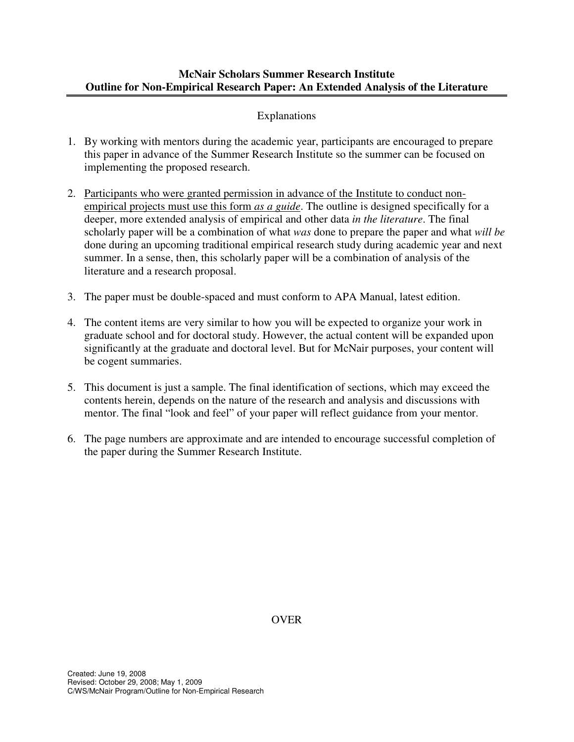## **McNair Scholars Summer Research Institute Outline for Non-Empirical Research Paper: An Extended Analysis of the Literature**

# Explanations

- 1. By working with mentors during the academic year, participants are encouraged to prepare this paper in advance of the Summer Research Institute so the summer can be focused on implementing the proposed research.
- 2. Participants who were granted permission in advance of the Institute to conduct nonempirical projects must use this form *as a guide*. The outline is designed specifically for a deeper, more extended analysis of empirical and other data *in the literature*. The final scholarly paper will be a combination of what *was* done to prepare the paper and what *will be* done during an upcoming traditional empirical research study during academic year and next summer. In a sense, then, this scholarly paper will be a combination of analysis of the literature and a research proposal.
- 3. The paper must be double-spaced and must conform to APA Manual, latest edition.
- 4. The content items are very similar to how you will be expected to organize your work in graduate school and for doctoral study. However, the actual content will be expanded upon significantly at the graduate and doctoral level. But for McNair purposes, your content will be cogent summaries.
- 5. This document is just a sample. The final identification of sections, which may exceed the contents herein, depends on the nature of the research and analysis and discussions with mentor. The final "look and feel" of your paper will reflect guidance from your mentor.
- 6. The page numbers are approximate and are intended to encourage successful completion of the paper during the Summer Research Institute.

OVER